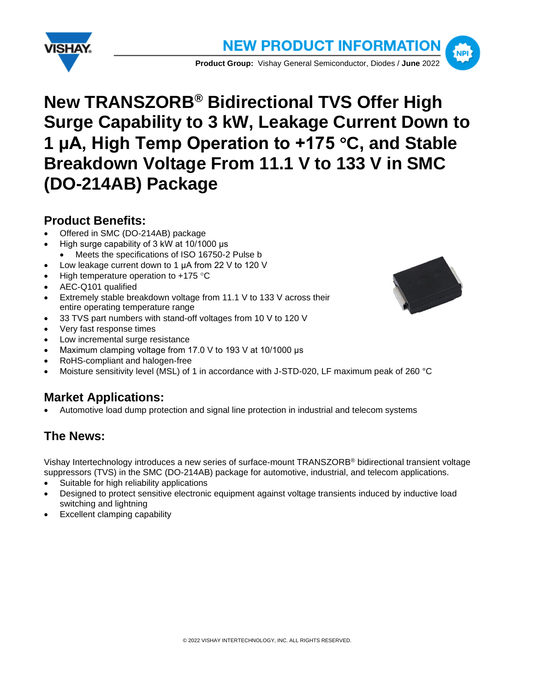



# **New TRANSZORB® Bidirectional TVS Offer High Surge Capability to 3 kW, Leakage Current Down to 1 μA, High Temp Operation to +175 C, and Stable Breakdown Voltage From 11.1 V to 133 V in SMC (DO-214AB) Package**

#### **Product Benefits:**

- Offered in SMC (DO-214AB) package
- High surge capability of 3 kW at 10/1000 μs
- Meets the specifications of ISO 16750-2 Pulse b
- Low leakage current down to 1 μA from 22 V to 120 V
- High temperature operation to  $+175$  °C
- AEC-Q101 qualified
- Extremely stable breakdown voltage from 11.1 V to 133 V across their entire operating temperature range
- 33 TVS part numbers with stand-off voltages from 10 V to 120 V
- Very fast response times
- Low incremental surge resistance
- Maximum clamping voltage from 17.0 V to 193 V at 10/1000 μs
- RoHS-compliant and halogen-free
- Moisture sensitivity level (MSL) of 1 in accordance with J-STD-020, LF maximum peak of 260 °C

### **Market Applications:**

• Automotive load dump protection and signal line protection in industrial and telecom systems

### **The News:**

Vishay Intertechnology introduces a new series of surface-mount TRANSZORB® bidirectional transient voltage suppressors (TVS) in the SMC (DO-214AB) package for automotive, industrial, and telecom applications.

- Suitable for high reliability applications
- Designed to protect sensitive electronic equipment against voltage transients induced by inductive load switching and lightning
- Excellent clamping capability

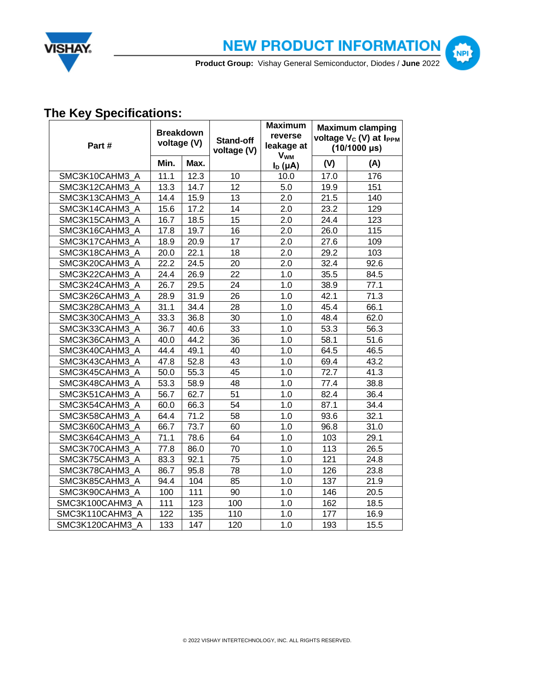



**NPI** 

**Product Group:** Vishay General Semiconductor, Diodes / **June** 2022

## **The Key Specifications:**

| Part #          | <b>Breakdown</b><br>voltage (V) |      | Stand-off<br>voltage (V) | <b>Maximum</b><br>reverse<br>leakage at<br><b>V<sub>WM</sub></b> | <b>Maximum clamping</b><br>voltage V <sub>c</sub> (V) at I <sub>PPM</sub><br>$(10/1000 \,\text{µs})$ |      |
|-----------------|---------------------------------|------|--------------------------|------------------------------------------------------------------|------------------------------------------------------------------------------------------------------|------|
|                 | Min.                            | Max. |                          | $I_D(\mu A)$                                                     | (V)                                                                                                  | (A)  |
| SMC3K10CAHM3 A  | 11.1                            | 12.3 | 10                       | 10.0                                                             | 17.0                                                                                                 | 176  |
| SMC3K12CAHM3 A  | 13.3                            | 14.7 | 12                       | 5.0                                                              | 19.9                                                                                                 | 151  |
| SMC3K13CAHM3 A  | 14.4                            | 15.9 | 13                       | 2.0                                                              | 21.5                                                                                                 | 140  |
| SMC3K14CAHM3 A  | 15.6                            | 17.2 | 14                       | 2.0                                                              | 23.2                                                                                                 | 129  |
| SMC3K15CAHM3 A  | 16.7                            | 18.5 | 15                       | 2.0                                                              | 24.4                                                                                                 | 123  |
| SMC3K16CAHM3 A  | 17.8                            | 19.7 | 16                       | 2.0                                                              | 26.0                                                                                                 | 115  |
| SMC3K17CAHM3 A  | 18.9                            | 20.9 | 17                       | 2.0                                                              | 27.6                                                                                                 | 109  |
| SMC3K18CAHM3 A  | 20.0                            | 22.1 | 18                       | 2.0                                                              | 29.2                                                                                                 | 103  |
| SMC3K20CAHM3 A  | 22.2                            | 24.5 | 20                       | 2.0                                                              | 32.4                                                                                                 | 92.6 |
| SMC3K22CAHM3 A  | 24.4                            | 26.9 | 22                       | 1.0                                                              | 35.5                                                                                                 | 84.5 |
| SMC3K24CAHM3 A  | 26.7                            | 29.5 | 24                       | 1.0                                                              | 38.9                                                                                                 | 77.1 |
| SMC3K26CAHM3 A  | 28.9                            | 31.9 | 26                       | 1.0                                                              | 42.1                                                                                                 | 71.3 |
| SMC3K28CAHM3_A  | 31.1                            | 34.4 | 28                       | 1.0                                                              | 45.4                                                                                                 | 66.1 |
| SMC3K30CAHM3 A  | 33.3                            | 36.8 | 30                       | 1.0                                                              | 48.4                                                                                                 | 62.0 |
| SMC3K33CAHM3 A  | 36.7                            | 40.6 | 33                       | 1.0                                                              | 53.3                                                                                                 | 56.3 |
| SMC3K36CAHM3 A  | 40.0                            | 44.2 | 36                       | 1.0                                                              | 58.1                                                                                                 | 51.6 |
| SMC3K40CAHM3 A  | 44.4                            | 49.1 | 40                       | 1.0                                                              | 64.5                                                                                                 | 46.5 |
| SMC3K43CAHM3 A  | 47.8                            | 52.8 | 43                       | 1.0                                                              | 69.4                                                                                                 | 43.2 |
| SMC3K45CAHM3 A  | 50.0                            | 55.3 | 45                       | 1.0                                                              | 72.7                                                                                                 | 41.3 |
| SMC3K48CAHM3 A  | 53.3                            | 58.9 | 48                       | 1.0                                                              | 77.4                                                                                                 | 38.8 |
| SMC3K51CAHM3_A  | 56.7                            | 62.7 | 51                       | 1.0                                                              | 82.4                                                                                                 | 36.4 |
| SMC3K54CAHM3 A  | 60.0                            | 66.3 | 54                       | 1.0                                                              | 87.1                                                                                                 | 34.4 |
| SMC3K58CAHM3 A  | 64.4                            | 71.2 | 58                       | 1.0                                                              | 93.6                                                                                                 | 32.1 |
| SMC3K60CAHM3_A  | 66.7                            | 73.7 | 60                       | 1.0                                                              | 96.8                                                                                                 | 31.0 |
| SMC3K64CAHM3 A  | 71.1                            | 78.6 | 64                       | 1.0                                                              | 103                                                                                                  | 29.1 |
| SMC3K70CAHM3_A  | 77.8                            | 86.0 | 70                       | 1.0                                                              | 113                                                                                                  | 26.5 |
| SMC3K75CAHM3_A  | 83.3                            | 92.1 | 75                       | 1.0                                                              | 121                                                                                                  | 24.8 |
| SMC3K78CAHM3 A  | 86.7                            | 95.8 | 78                       | 1.0                                                              | 126                                                                                                  | 23.8 |
| SMC3K85CAHM3_A  | 94.4                            | 104  | 85                       | 1.0                                                              | 137                                                                                                  | 21.9 |
| SMC3K90CAHM3 A  | 100                             | 111  | 90                       | 1.0                                                              | 146                                                                                                  | 20.5 |
| SMC3K100CAHM3 A | 111                             | 123  | 100                      | 1.0                                                              | 162                                                                                                  | 18.5 |
| SMC3K110CAHM3 A | 122                             | 135  | 110                      | 1.0                                                              | 177                                                                                                  | 16.9 |
| SMC3K120CAHM3 A | 133                             | 147  | 120                      | 1.0                                                              | 193                                                                                                  | 15.5 |